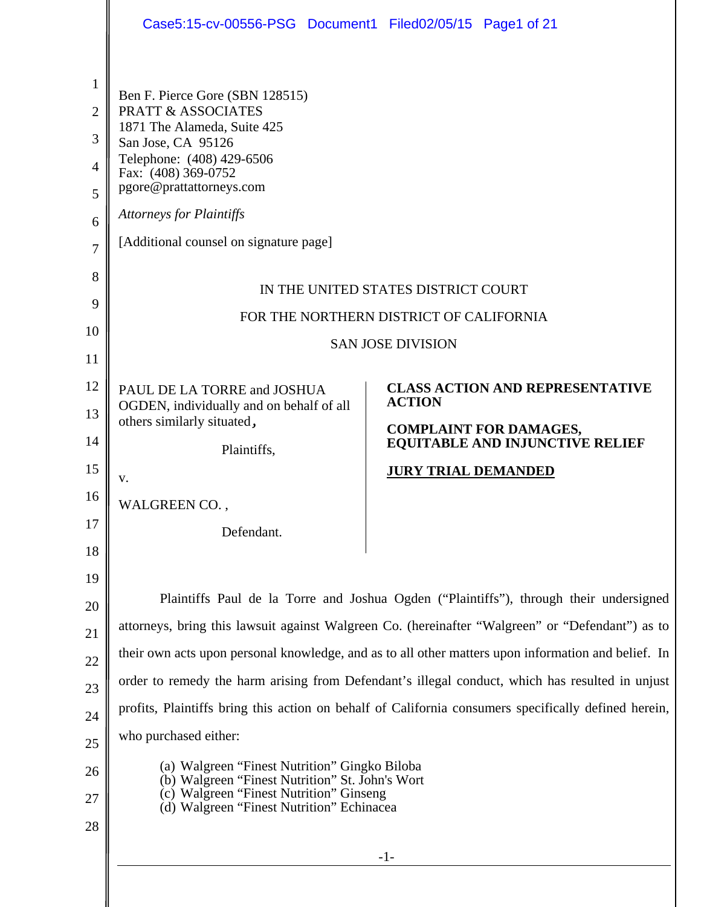|                                                                                  | Case5:15-cv-00556-PSG Document1 Filed02/05/15 Page1 of 21                                                                                                                                                                                                                          |                                                                                                                                                                                                         |
|----------------------------------------------------------------------------------|------------------------------------------------------------------------------------------------------------------------------------------------------------------------------------------------------------------------------------------------------------------------------------|---------------------------------------------------------------------------------------------------------------------------------------------------------------------------------------------------------|
| 1<br>$\overline{2}$<br>3<br>$\overline{4}$<br>5<br>6<br>$\overline{7}$<br>8<br>9 | Ben F. Pierce Gore (SBN 128515)<br><b>PRATT &amp; ASSOCIATES</b><br>1871 The Alameda, Suite 425<br>San Jose, CA 95126<br>Telephone: (408) 429-6506<br>Fax: (408) 369-0752<br>pgore@prattattorneys.com<br><b>Attorneys for Plaintiffs</b><br>[Additional counsel on signature page] | IN THE UNITED STATES DISTRICT COURT<br>FOR THE NORTHERN DISTRICT OF CALIFORNIA                                                                                                                          |
| 10                                                                               |                                                                                                                                                                                                                                                                                    |                                                                                                                                                                                                         |
| 11                                                                               |                                                                                                                                                                                                                                                                                    | <b>SAN JOSE DIVISION</b>                                                                                                                                                                                |
| 12                                                                               | PAUL DE LA TORRE and JOSHUA                                                                                                                                                                                                                                                        | <b>CLASS ACTION AND REPRESENTATIVE</b>                                                                                                                                                                  |
| 13                                                                               | OGDEN, individually and on behalf of all<br>others similarly situated,                                                                                                                                                                                                             | <b>ACTION</b>                                                                                                                                                                                           |
| 14                                                                               | Plaintiffs,                                                                                                                                                                                                                                                                        | <b>COMPLAINT FOR DAMAGES,</b><br>EQUITABLE AND INJUNCTIVE RELIEF                                                                                                                                        |
| 15                                                                               | V.                                                                                                                                                                                                                                                                                 | <b>JURY TRIAL DEMANDED</b>                                                                                                                                                                              |
| 16                                                                               | WALGREEN CO.,                                                                                                                                                                                                                                                                      |                                                                                                                                                                                                         |
| 17                                                                               | Defendant.                                                                                                                                                                                                                                                                         |                                                                                                                                                                                                         |
| 18                                                                               |                                                                                                                                                                                                                                                                                    |                                                                                                                                                                                                         |
| 19                                                                               |                                                                                                                                                                                                                                                                                    |                                                                                                                                                                                                         |
| 20                                                                               |                                                                                                                                                                                                                                                                                    | Plaintiffs Paul de la Torre and Joshua Ogden ("Plaintiffs"), through their undersigned                                                                                                                  |
| 21                                                                               |                                                                                                                                                                                                                                                                                    | attorneys, bring this lawsuit against Walgreen Co. (hereinafter "Walgreen" or "Defendant") as to                                                                                                        |
| 22                                                                               |                                                                                                                                                                                                                                                                                    | their own acts upon personal knowledge, and as to all other matters upon information and belief. In                                                                                                     |
| 23                                                                               |                                                                                                                                                                                                                                                                                    | order to remedy the harm arising from Defendant's illegal conduct, which has resulted in unjust<br>profits, Plaintiffs bring this action on behalf of California consumers specifically defined herein, |
| 24                                                                               | who purchased either:                                                                                                                                                                                                                                                              |                                                                                                                                                                                                         |
| 25                                                                               |                                                                                                                                                                                                                                                                                    |                                                                                                                                                                                                         |
| 26<br>27                                                                         | (a) Walgreen "Finest Nutrition" Gingko Biloba<br>(b) Walgreen "Finest Nutrition" St. John's Wort<br>(c) Walgreen "Finest Nutrition" Ginseng                                                                                                                                        |                                                                                                                                                                                                         |
| 28                                                                               | (d) Walgreen "Finest Nutrition" Echinacea                                                                                                                                                                                                                                          |                                                                                                                                                                                                         |
|                                                                                  |                                                                                                                                                                                                                                                                                    | $-1-$                                                                                                                                                                                                   |
|                                                                                  |                                                                                                                                                                                                                                                                                    |                                                                                                                                                                                                         |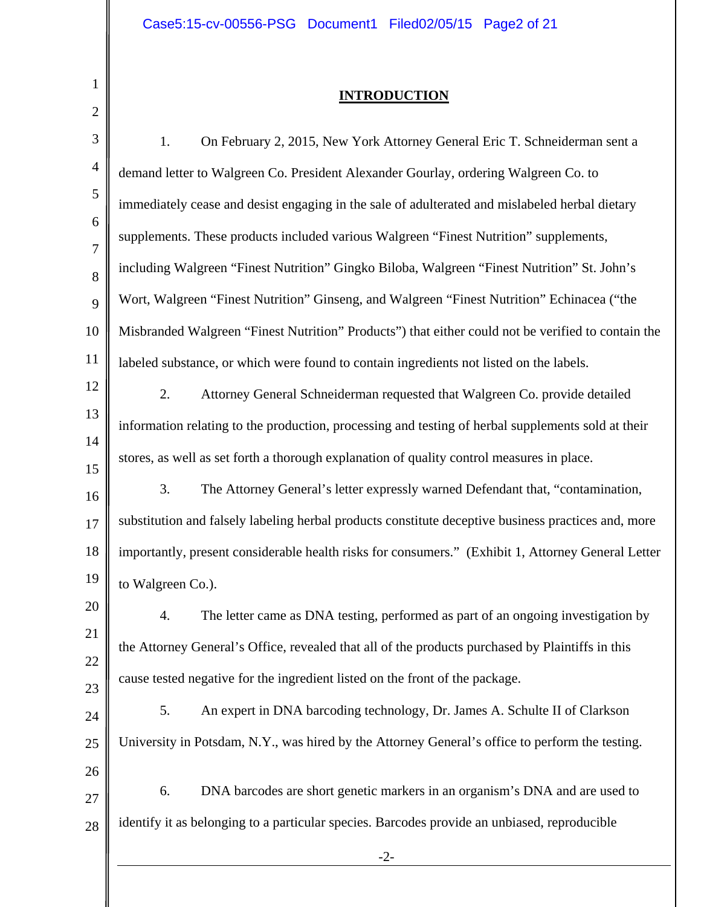1

∥

### **INTRODUCTION**

| $\overline{2}$ |                                                                                                     |
|----------------|-----------------------------------------------------------------------------------------------------|
| 3              | On February 2, 2015, New York Attorney General Eric T. Schneiderman sent a<br>1.                    |
| $\overline{4}$ | demand letter to Walgreen Co. President Alexander Gourlay, ordering Walgreen Co. to                 |
| 5              | immediately cease and desist engaging in the sale of adulterated and mislabeled herbal dietary      |
| 6<br>7         | supplements. These products included various Walgreen "Finest Nutrition" supplements,               |
| 8              | including Walgreen "Finest Nutrition" Gingko Biloba, Walgreen "Finest Nutrition" St. John's         |
| 9              | Wort, Walgreen "Finest Nutrition" Ginseng, and Walgreen "Finest Nutrition" Echinacea ("the          |
| 10             | Misbranded Walgreen "Finest Nutrition" Products") that either could not be verified to contain the  |
| 11             | labeled substance, or which were found to contain ingredients not listed on the labels.             |
| 12             | 2.<br>Attorney General Schneiderman requested that Walgreen Co. provide detailed                    |
| 13<br>14       | information relating to the production, processing and testing of herbal supplements sold at their  |
| 15             | stores, as well as set forth a thorough explanation of quality control measures in place.           |
| 16             | The Attorney General's letter expressly warned Defendant that, "contamination,<br>3.                |
| 17             | substitution and falsely labeling herbal products constitute deceptive business practices and, more |
| 18             | importantly, present considerable health risks for consumers." (Exhibit 1, Attorney General Letter  |
| 19             | to Walgreen Co.).                                                                                   |
| 20             | The letter came as DNA testing, performed as part of an ongoing investigation by<br>$\overline{4}$  |
| 21<br>22       | the Attorney General's Office, revealed that all of the products purchased by Plaintiffs in this    |
| 23             | cause tested negative for the ingredient listed on the front of the package.                        |
| 24             | An expert in DNA barcoding technology, Dr. James A. Schulte II of Clarkson<br>5.                    |
| 25             | University in Potsdam, N.Y., was hired by the Attorney General's office to perform the testing.     |
| 26             |                                                                                                     |
| 27             | DNA barcodes are short genetic markers in an organism's DNA and are used to<br>6.                   |
| 28             | identify it as belonging to a particular species. Barcodes provide an unbiased, reproducible        |
|                | $-2-$                                                                                               |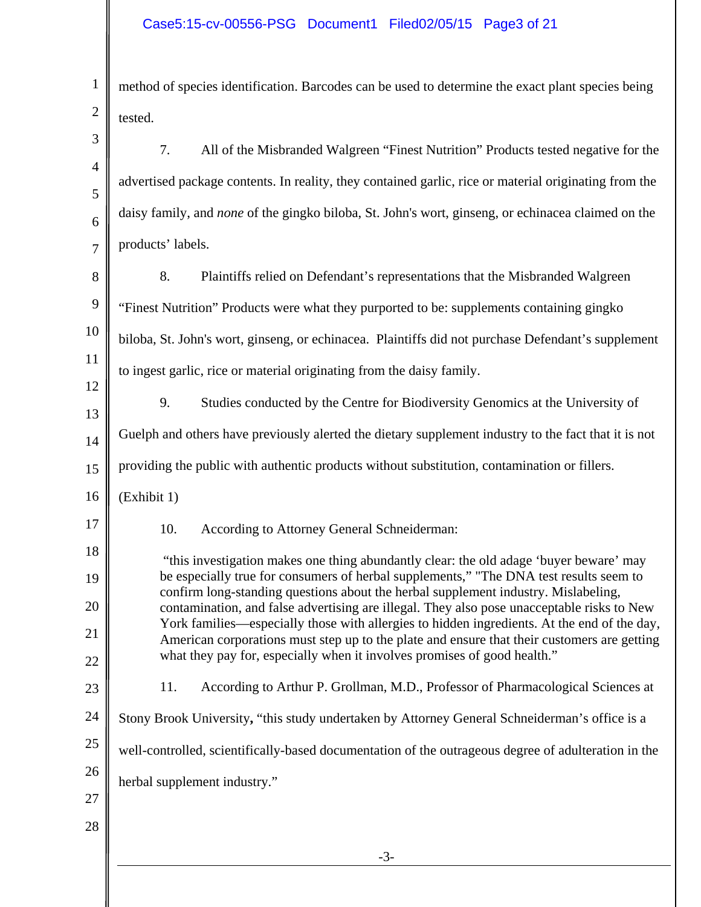| $\mathbf{1}$   | method of species identification. Barcodes can be used to determine the exact plant species being                                                                                          |
|----------------|--------------------------------------------------------------------------------------------------------------------------------------------------------------------------------------------|
| $\mathbf{2}$   | tested.                                                                                                                                                                                    |
| 3              | All of the Misbranded Walgreen "Finest Nutrition" Products tested negative for the<br>7.                                                                                                   |
| $\overline{4}$ | advertised package contents. In reality, they contained garlic, rice or material originating from the                                                                                      |
| 5<br>6         | daisy family, and none of the gingko biloba, St. John's wort, ginseng, or echinacea claimed on the                                                                                         |
| $\tau$         | products' labels.                                                                                                                                                                          |
| $8\,$          | 8.<br>Plaintiffs relied on Defendant's representations that the Misbranded Walgreen                                                                                                        |
| 9              | "Finest Nutrition" Products were what they purported to be: supplements containing gingko                                                                                                  |
| 10             | biloba, St. John's wort, ginseng, or echinacea. Plaintiffs did not purchase Defendant's supplement                                                                                         |
| 11             | to ingest garlic, rice or material originating from the daisy family.                                                                                                                      |
| 12             | 9.<br>Studies conducted by the Centre for Biodiversity Genomics at the University of                                                                                                       |
| 13             | Guelph and others have previously alerted the dietary supplement industry to the fact that it is not                                                                                       |
| 14<br>15       | providing the public with authentic products without substitution, contamination or fillers.                                                                                               |
| 16             | (Exhibit 1)                                                                                                                                                                                |
| 17             | 10.<br>According to Attorney General Schneiderman:                                                                                                                                         |
| 18             | "this investigation makes one thing abundantly clear: the old adage 'buyer beware' may                                                                                                     |
| 19             | be especially true for consumers of herbal supplements," "The DNA test results seem to                                                                                                     |
| 20             | confirm long-standing questions about the herbal supplement industry. Mislabeling,<br>contamination, and false advertising are illegal. They also pose unacceptable risks to New           |
| 21             | York families—especially those with allergies to hidden ingredients. At the end of the day,<br>American corporations must step up to the plate and ensure that their customers are getting |
| 22             | what they pay for, especially when it involves promises of good health."                                                                                                                   |
| 23             | According to Arthur P. Grollman, M.D., Professor of Pharmacological Sciences at<br>11.                                                                                                     |
| 24             | Stony Brook University, "this study undertaken by Attorney General Schneiderman's office is a                                                                                              |
| 25             | well-controlled, scientifically-based documentation of the outrageous degree of adulteration in the                                                                                        |
| 26             | herbal supplement industry."                                                                                                                                                               |
| 27<br>28       |                                                                                                                                                                                            |
|                | $-3-$                                                                                                                                                                                      |
|                |                                                                                                                                                                                            |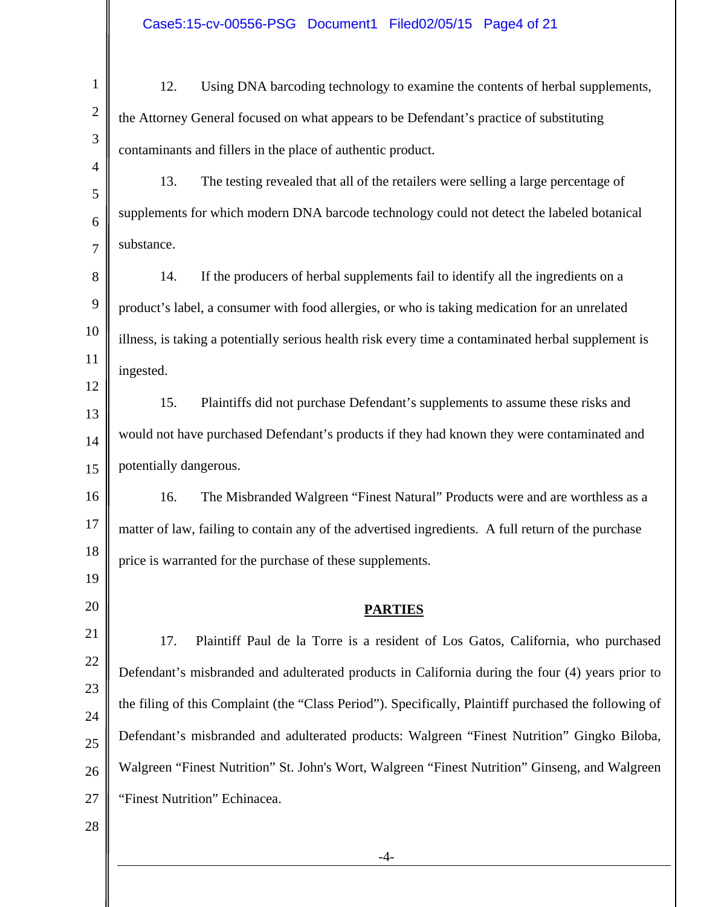| $\mathbf{1}$   | 12.<br>Using DNA barcoding technology to examine the contents of herbal supplements,                  |
|----------------|-------------------------------------------------------------------------------------------------------|
| $\mathbf{2}$   | the Attorney General focused on what appears to be Defendant's practice of substituting               |
| 3              | contaminants and fillers in the place of authentic product.                                           |
| $\overline{4}$ | 13.<br>The testing revealed that all of the retailers were selling a large percentage of              |
| 5<br>6         | supplements for which modern DNA barcode technology could not detect the labeled botanical            |
| $\overline{7}$ | substance.                                                                                            |
| 8              | If the producers of herbal supplements fail to identify all the ingredients on a<br>14.               |
| 9              | product's label, a consumer with food allergies, or who is taking medication for an unrelated         |
| 10             | illness, is taking a potentially serious health risk every time a contaminated herbal supplement is   |
| 11             | ingested.                                                                                             |
| 12             | 15.<br>Plaintiffs did not purchase Defendant's supplements to assume these risks and                  |
| 13             | would not have purchased Defendant's products if they had known they were contaminated and            |
| 14             | potentially dangerous.                                                                                |
| 15             |                                                                                                       |
| 16             | 16.<br>The Misbranded Walgreen "Finest Natural" Products were and are worthless as a                  |
| 17             | matter of law, failing to contain any of the advertised ingredients. A full return of the purchase    |
| 18             | price is warranted for the purchase of these supplements.                                             |
| 19             |                                                                                                       |
| 20             | <b>PARTIES</b>                                                                                        |
| 21             | Plaintiff Paul de la Torre is a resident of Los Gatos, California, who purchased<br>17.               |
| 22             | Defendant's misbranded and adulterated products in California during the four (4) years prior to      |
| 23             | the filing of this Complaint (the "Class Period"). Specifically, Plaintiff purchased the following of |
| 24<br>25       | Defendant's misbranded and adulterated products: Walgreen "Finest Nutrition" Gingko Biloba,           |
| 26             | Walgreen "Finest Nutrition" St. John's Wort, Walgreen "Finest Nutrition" Ginseng, and Walgreen        |
| 27             | "Finest Nutrition" Echinacea.                                                                         |
| 28             |                                                                                                       |
|                | $-4-$                                                                                                 |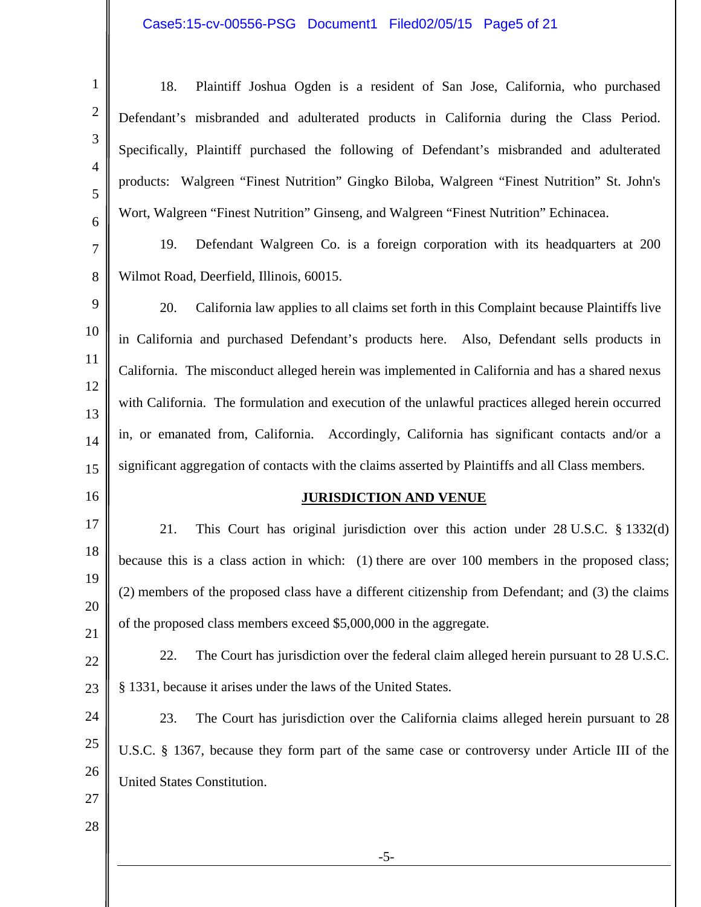## Case5:15-cv-00556-PSG Document1 Filed02/05/15 Page5 of 21

| 1              | Plaintiff Joshua Ogden is a resident of San Jose, California, who purchased<br>18.                |
|----------------|---------------------------------------------------------------------------------------------------|
| $\overline{2}$ | Defendant's misbranded and adulterated products in California during the Class Period.            |
| 3              | Specifically, Plaintiff purchased the following of Defendant's misbranded and adulterated         |
| $\overline{4}$ | products: Walgreen "Finest Nutrition" Gingko Biloba, Walgreen "Finest Nutrition" St. John's       |
| 5              | Wort, Walgreen "Finest Nutrition" Ginseng, and Walgreen "Finest Nutrition" Echinacea.             |
| 6              | Defendant Walgreen Co. is a foreign corporation with its headquarters at 200<br>19.               |
| $\tau$<br>8    | Wilmot Road, Deerfield, Illinois, 60015.                                                          |
| 9              |                                                                                                   |
| 10             | 20.<br>California law applies to all claims set forth in this Complaint because Plaintiffs live   |
| 11             | in California and purchased Defendant's products here. Also, Defendant sells products in          |
| 12             | California. The misconduct alleged herein was implemented in California and has a shared nexus    |
| 13             | with California. The formulation and execution of the unlawful practices alleged herein occurred  |
| 14             | in, or emanated from, California. Accordingly, California has significant contacts and/or a       |
| 15             | significant aggregation of contacts with the claims asserted by Plaintiffs and all Class members. |
| 16             | <b>JURISDICTION AND VENUE</b>                                                                     |
| 17             | 21.<br>This Court has original jurisdiction over this action under $28$ U.S.C. $\S$ 1332(d)       |
| 18             | because this is a class action in which: (1) there are over 100 members in the proposed class;    |
| 19             | (2) members of the proposed class have a different citizenship from Defendant; and (3) the claims |
| 20             | of the proposed class members exceed \$5,000,000 in the aggregate.                                |
| 21<br>22       | The Court has jurisdiction over the federal claim alleged herein pursuant to 28 U.S.C.<br>22.     |
| 23             | § 1331, because it arises under the laws of the United States.                                    |
| 24             | The Court has jurisdiction over the California claims alleged herein pursuant to 28<br>23.        |
| 25             | U.S.C. § 1367, because they form part of the same case or controversy under Article III of the    |
| 26             | United States Constitution.                                                                       |
| 27             |                                                                                                   |
| 28             |                                                                                                   |
|                | $-5-$                                                                                             |
|                |                                                                                                   |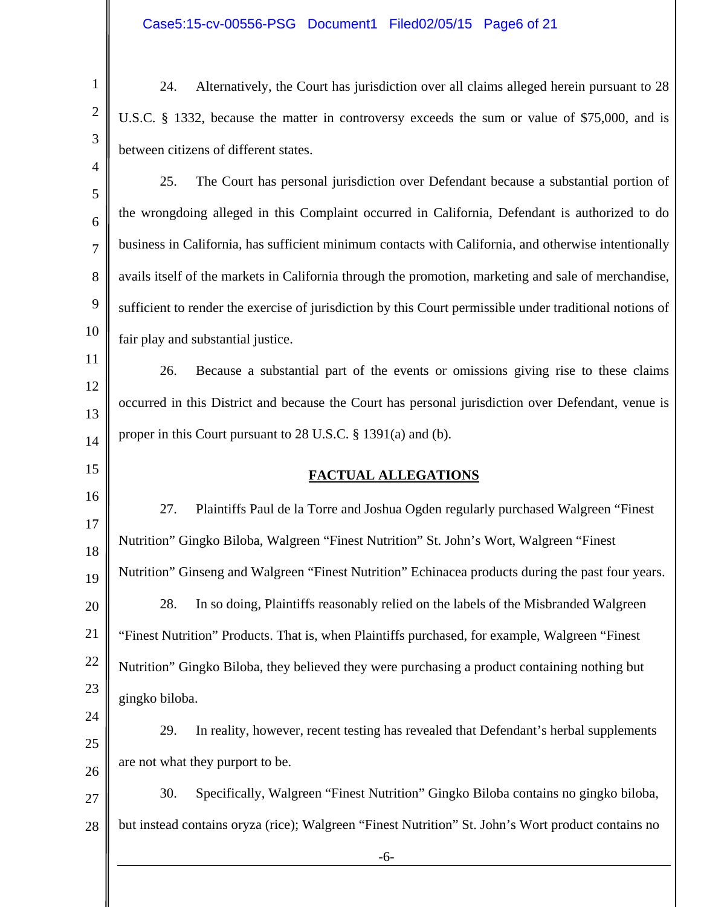1

2

3

4

15

24

24. Alternatively, the Court has jurisdiction over all claims alleged herein pursuant to 28 U.S.C. § 1332, because the matter in controversy exceeds the sum or value of \$75,000, and is between citizens of different states.

5 6 7 8 9 10 25. The Court has personal jurisdiction over Defendant because a substantial portion of the wrongdoing alleged in this Complaint occurred in California, Defendant is authorized to do business in California, has sufficient minimum contacts with California, and otherwise intentionally avails itself of the markets in California through the promotion, marketing and sale of merchandise, sufficient to render the exercise of jurisdiction by this Court permissible under traditional notions of fair play and substantial justice.

11 12 13 14 26. Because a substantial part of the events or omissions giving rise to these claims occurred in this District and because the Court has personal jurisdiction over Defendant, venue is proper in this Court pursuant to 28 U.S.C. § 1391(a) and (b).

### **FACTUAL ALLEGATIONS**

16 17 18 19 20 21 22 23 27. Plaintiffs Paul de la Torre and Joshua Ogden regularly purchased Walgreen "Finest Nutrition" Gingko Biloba, Walgreen "Finest Nutrition" St. John's Wort, Walgreen "Finest Nutrition" Ginseng and Walgreen "Finest Nutrition" Echinacea products during the past four years. 28. In so doing, Plaintiffs reasonably relied on the labels of the Misbranded Walgreen "Finest Nutrition" Products. That is, when Plaintiffs purchased, for example, Walgreen "Finest Nutrition" Gingko Biloba, they believed they were purchasing a product containing nothing but gingko biloba.

25 26 29. In reality, however, recent testing has revealed that Defendant's herbal supplements are not what they purport to be.

27 28 30. Specifically, Walgreen "Finest Nutrition" Gingko Biloba contains no gingko biloba, but instead contains oryza (rice); Walgreen "Finest Nutrition" St. John's Wort product contains no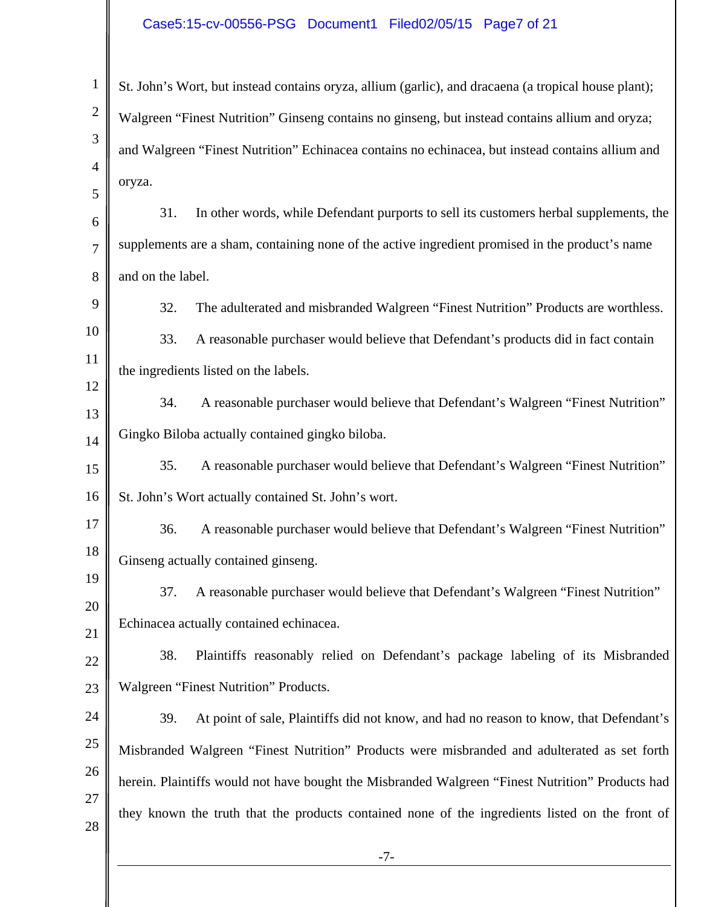## Case5:15-cv-00556-PSG Document1 Filed02/05/15 Page7 of 21

| 1                   | St. John's Wort, but instead contains oryza, allium (garlic), and dracaena (a tropical house plant); |
|---------------------|------------------------------------------------------------------------------------------------------|
| $\mathbf{2}$        | Walgreen "Finest Nutrition" Ginseng contains no ginseng, but instead contains allium and oryza;      |
| 3                   | and Walgreen "Finest Nutrition" Echinacea contains no echinacea, but instead contains allium and     |
| $\overline{4}$<br>5 | oryza.                                                                                               |
| 6                   | In other words, while Defendant purports to sell its customers herbal supplements, the<br>31.        |
| 7                   | supplements are a sham, containing none of the active ingredient promised in the product's name      |
| 8                   | and on the label.                                                                                    |
| 9                   | 32.<br>The adulterated and misbranded Walgreen "Finest Nutrition" Products are worthless.            |
| 10                  | A reasonable purchaser would believe that Defendant's products did in fact contain<br>33.            |
| 11                  | the ingredients listed on the labels.                                                                |
| 12                  | 34.<br>A reasonable purchaser would believe that Defendant's Walgreen "Finest Nutrition"             |
| 13                  | Gingko Biloba actually contained gingko biloba.                                                      |
| 14<br>15            | 35.<br>A reasonable purchaser would believe that Defendant's Walgreen "Finest Nutrition"             |
| 16                  | St. John's Wort actually contained St. John's wort.                                                  |
| 17                  | 36.<br>A reasonable purchaser would believe that Defendant's Walgreen "Finest Nutrition"             |
| 18                  |                                                                                                      |
| 19                  | Ginseng actually contained ginseng.                                                                  |
| 20                  | A reasonable purchaser would believe that Defendant's Walgreen "Finest Nutrition"<br>37.             |
| 21                  | Echinacea actually contained echinacea.                                                              |
| 22                  | Plaintiffs reasonably relied on Defendant's package labeling of its Misbranded<br>38.                |
| 23                  | Walgreen "Finest Nutrition" Products.                                                                |
| 24                  | 39.<br>At point of sale, Plaintiffs did not know, and had no reason to know, that Defendant's        |
| 25                  | Misbranded Walgreen "Finest Nutrition" Products were misbranded and adulterated as set forth         |
| 26<br>27            | herein. Plaintiffs would not have bought the Misbranded Walgreen "Finest Nutrition" Products had     |
| 28                  | they known the truth that the products contained none of the ingredients listed on the front of      |
|                     | $-7-$                                                                                                |
|                     |                                                                                                      |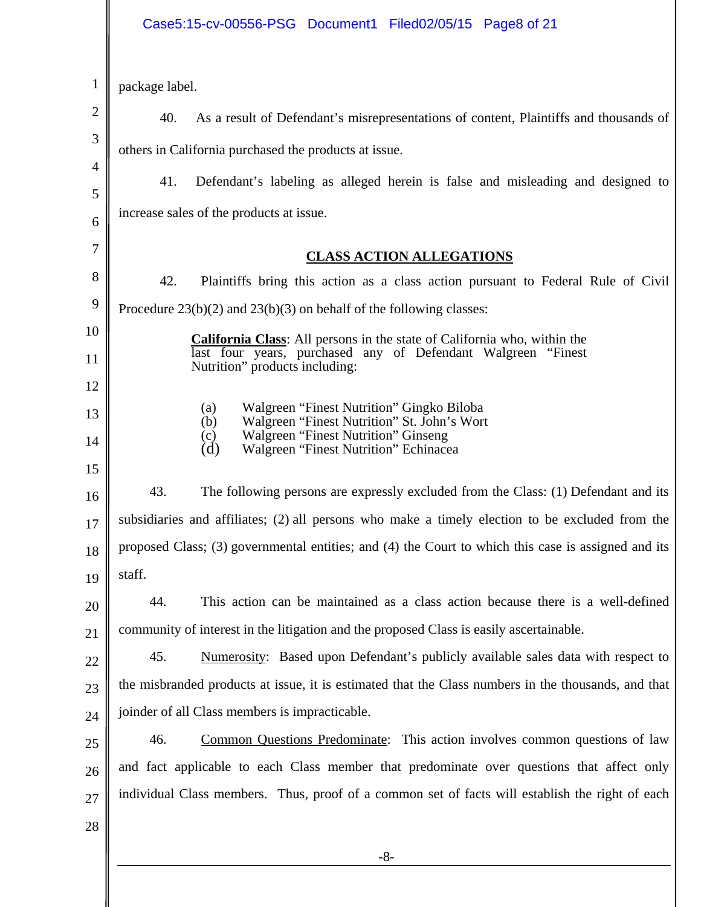## Case5:15-cv-00556-PSG Document1 Filed02/05/15 Page8 of 21

| 1      | package label.                                                                                                                                       |
|--------|------------------------------------------------------------------------------------------------------------------------------------------------------|
| 2      | 40.<br>As a result of Defendant's misrepresentations of content, Plaintiffs and thousands of                                                         |
| 3      | others in California purchased the products at issue.                                                                                                |
| 4      | 41.<br>Defendant's labeling as alleged herein is false and misleading and designed to                                                                |
| 5<br>6 | increase sales of the products at issue.                                                                                                             |
| 7      |                                                                                                                                                      |
|        | <b>CLASS ACTION ALLEGATIONS</b>                                                                                                                      |
| 8      | 42.<br>Plaintiffs bring this action as a class action pursuant to Federal Rule of Civil                                                              |
| 9      | Procedure $23(b)(2)$ and $23(b)(3)$ on behalf of the following classes:                                                                              |
| 10     | <b>California Class:</b> All persons in the state of California who, within the                                                                      |
| 11     | last four years, purchased any of Defendant Walgreen "Finest"<br>Nutrition" products including:                                                      |
| 12     |                                                                                                                                                      |
| 13     | Walgreen "Finest Nutrition" Gingko Biloba<br>(a)<br>Walgreen "Finest Nutrition" St. John's Wort<br>(b)<br><b>Walgreen "Finest Nutrition" Ginseng</b> |
| 14     | (c)<br>(d)<br>Walgreen "Finest Nutrition" Echinacea                                                                                                  |
| 15     |                                                                                                                                                      |
| 16     | 43.<br>The following persons are expressly excluded from the Class: (1) Defendant and its                                                            |
| 17     | subsidiaries and affiliates; (2) all persons who make a timely election to be excluded from the                                                      |
| 18     | proposed Class; (3) governmental entities; and (4) the Court to which this case is assigned and its                                                  |
| 19     | staff.                                                                                                                                               |
| 20     | This action can be maintained as a class action because there is a well-defined<br>44.                                                               |
| 21     | community of interest in the litigation and the proposed Class is easily ascertainable.                                                              |
| 22     | Numerosity: Based upon Defendant's publicly available sales data with respect to<br>45.                                                              |
| 23     | the misbranded products at issue, it is estimated that the Class numbers in the thousands, and that                                                  |
| 24     | joinder of all Class members is impracticable.                                                                                                       |
| 25     | Common Questions Predominate: This action involves common questions of law<br>46.                                                                    |
| 26     | and fact applicable to each Class member that predominate over questions that affect only                                                            |
| 27     | individual Class members. Thus, proof of a common set of facts will establish the right of each                                                      |
| 28     |                                                                                                                                                      |
|        | $-8-$                                                                                                                                                |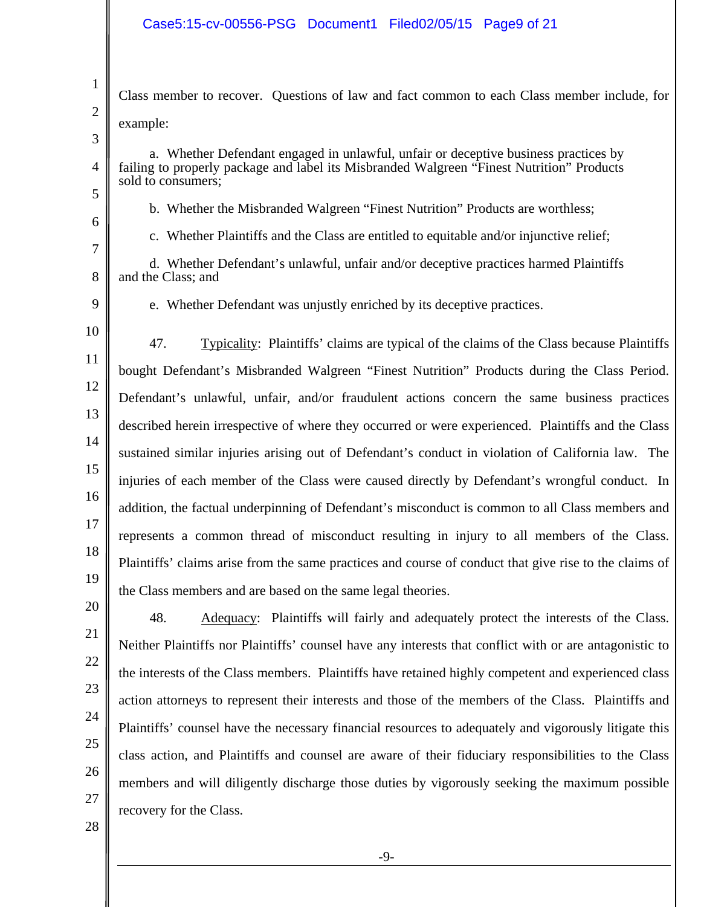Class member to recover. Questions of law and fact common to each Class member include, for example:

3

4

5

6

7

1

2

a. Whether Defendant engaged in unlawful, unfair or deceptive business practices by failing to properly package and label its Misbranded Walgreen "Finest Nutrition" Products sold to consumers;

b. Whether the Misbranded Walgreen "Finest Nutrition" Products are worthless;

c. Whether Plaintiffs and the Class are entitled to equitable and/or injunctive relief;

8 d. Whether Defendant's unlawful, unfair and/or deceptive practices harmed Plaintiffs and the Class; and

9

e. Whether Defendant was unjustly enriched by its deceptive practices.

10 11 12 13 14 15 16 17 18 19 47. Typicality: Plaintiffs' claims are typical of the claims of the Class because Plaintiffs bought Defendant's Misbranded Walgreen "Finest Nutrition" Products during the Class Period. Defendant's unlawful, unfair, and/or fraudulent actions concern the same business practices described herein irrespective of where they occurred or were experienced. Plaintiffs and the Class sustained similar injuries arising out of Defendant's conduct in violation of California law. The injuries of each member of the Class were caused directly by Defendant's wrongful conduct. In addition, the factual underpinning of Defendant's misconduct is common to all Class members and represents a common thread of misconduct resulting in injury to all members of the Class. Plaintiffs' claims arise from the same practices and course of conduct that give rise to the claims of the Class members and are based on the same legal theories.

25

26

48. Adequacy: Plaintiffs will fairly and adequately protect the interests of the Class. Neither Plaintiffs nor Plaintiffs' counsel have any interests that conflict with or are antagonistic to the interests of the Class members. Plaintiffs have retained highly competent and experienced class action attorneys to represent their interests and those of the members of the Class. Plaintiffs and Plaintiffs' counsel have the necessary financial resources to adequately and vigorously litigate this class action, and Plaintiffs and counsel are aware of their fiduciary responsibilities to the Class members and will diligently discharge those duties by vigorously seeking the maximum possible recovery for the Class.

28

27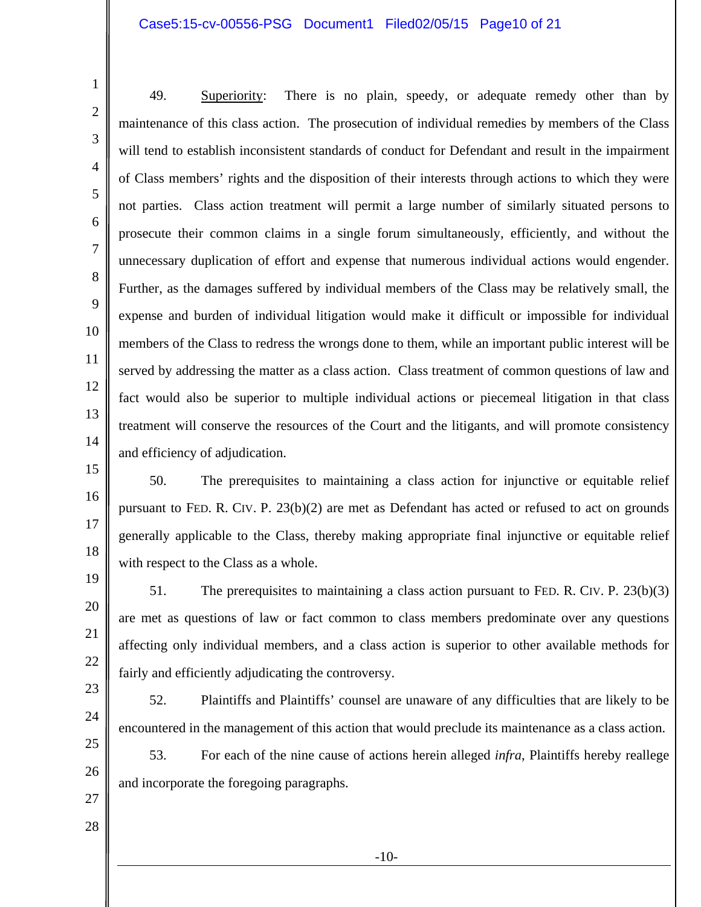#### Case5:15-cv-00556-PSG Document1 Filed02/05/15 Page10 of 21

49. Superiority: There is no plain, speedy, or adequate remedy other than by maintenance of this class action. The prosecution of individual remedies by members of the Class will tend to establish inconsistent standards of conduct for Defendant and result in the impairment of Class members' rights and the disposition of their interests through actions to which they were not parties. Class action treatment will permit a large number of similarly situated persons to prosecute their common claims in a single forum simultaneously, efficiently, and without the unnecessary duplication of effort and expense that numerous individual actions would engender. Further, as the damages suffered by individual members of the Class may be relatively small, the expense and burden of individual litigation would make it difficult or impossible for individual members of the Class to redress the wrongs done to them, while an important public interest will be served by addressing the matter as a class action. Class treatment of common questions of law and fact would also be superior to multiple individual actions or piecemeal litigation in that class treatment will conserve the resources of the Court and the litigants, and will promote consistency and efficiency of adjudication.

50. The prerequisites to maintaining a class action for injunctive or equitable relief pursuant to FED. R. CIV. P. 23(b)(2) are met as Defendant has acted or refused to act on grounds generally applicable to the Class, thereby making appropriate final injunctive or equitable relief with respect to the Class as a whole.

51. The prerequisites to maintaining a class action pursuant to FED. R. CIV. P. 23(b)(3) are met as questions of law or fact common to class members predominate over any questions affecting only individual members, and a class action is superior to other available methods for fairly and efficiently adjudicating the controversy.

52. Plaintiffs and Plaintiffs' counsel are unaware of any difficulties that are likely to be encountered in the management of this action that would preclude its maintenance as a class action.

53. For each of the nine cause of actions herein alleged *infra*, Plaintiffs hereby reallege and incorporate the foregoing paragraphs.

27 28

24

25

26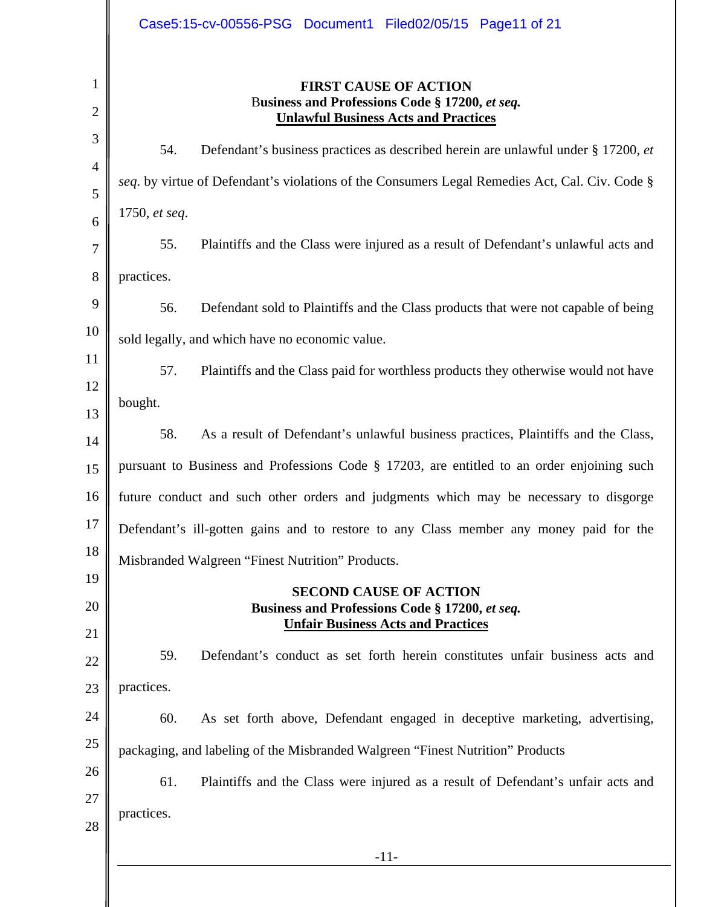|                                                                      | Case5:15-cv-00556-PSG Document1 Filed02/05/15 Page11 of 21                                                                                                                                                                                                                                                                                                                                                                                                                                                                                                                                                                                                                 |
|----------------------------------------------------------------------|----------------------------------------------------------------------------------------------------------------------------------------------------------------------------------------------------------------------------------------------------------------------------------------------------------------------------------------------------------------------------------------------------------------------------------------------------------------------------------------------------------------------------------------------------------------------------------------------------------------------------------------------------------------------------|
| 1<br>$\overline{2}$                                                  | <b>FIRST CAUSE OF ACTION</b><br>Business and Professions Code § 17200, et seq.<br><b>Unlawful Business Acts and Practices</b>                                                                                                                                                                                                                                                                                                                                                                                                                                                                                                                                              |
| 3<br>$\overline{4}$<br>5<br>6<br>7<br>8<br>9<br>10<br>11<br>12<br>13 | Defendant's business practices as described herein are unlawful under § 17200, et<br>54.<br>seq. by virtue of Defendant's violations of the Consumers Legal Remedies Act, Cal. Civ. Code §<br>1750, et seq.<br>Plaintiffs and the Class were injured as a result of Defendant's unlawful acts and<br>55.<br>practices.<br>56.<br>Defendant sold to Plaintiffs and the Class products that were not capable of being<br>sold legally, and which have no economic value.<br>57.<br>Plaintiffs and the Class paid for worthless products they otherwise would not have<br>bought.<br>58.<br>As a result of Defendant's unlawful business practices, Plaintiffs and the Class, |
| 14<br>15                                                             | pursuant to Business and Professions Code § 17203, are entitled to an order enjoining such                                                                                                                                                                                                                                                                                                                                                                                                                                                                                                                                                                                 |
| 16<br>17                                                             | future conduct and such other orders and judgments which may be necessary to disgorge<br>Defendant's ill-gotten gains and to restore to any Class member any money paid for the                                                                                                                                                                                                                                                                                                                                                                                                                                                                                            |
| 18<br>19<br>20                                                       | Misbranded Walgreen "Finest Nutrition" Products.<br><b>SECOND CAUSE OF ACTION</b><br>Business and Professions Code § 17200, et seq.<br><b>Unfair Business Acts and Practices</b>                                                                                                                                                                                                                                                                                                                                                                                                                                                                                           |
| 21<br>22<br>23                                                       | Defendant's conduct as set forth herein constitutes unfair business acts and<br>59.<br>practices.                                                                                                                                                                                                                                                                                                                                                                                                                                                                                                                                                                          |
| 24<br>25<br>26<br>27<br>28                                           | 60.<br>As set forth above, Defendant engaged in deceptive marketing, advertising,<br>packaging, and labeling of the Misbranded Walgreen "Finest Nutrition" Products<br>61.<br>Plaintiffs and the Class were injured as a result of Defendant's unfair acts and<br>practices.                                                                                                                                                                                                                                                                                                                                                                                               |
|                                                                      | $-11-$                                                                                                                                                                                                                                                                                                                                                                                                                                                                                                                                                                                                                                                                     |
|                                                                      |                                                                                                                                                                                                                                                                                                                                                                                                                                                                                                                                                                                                                                                                            |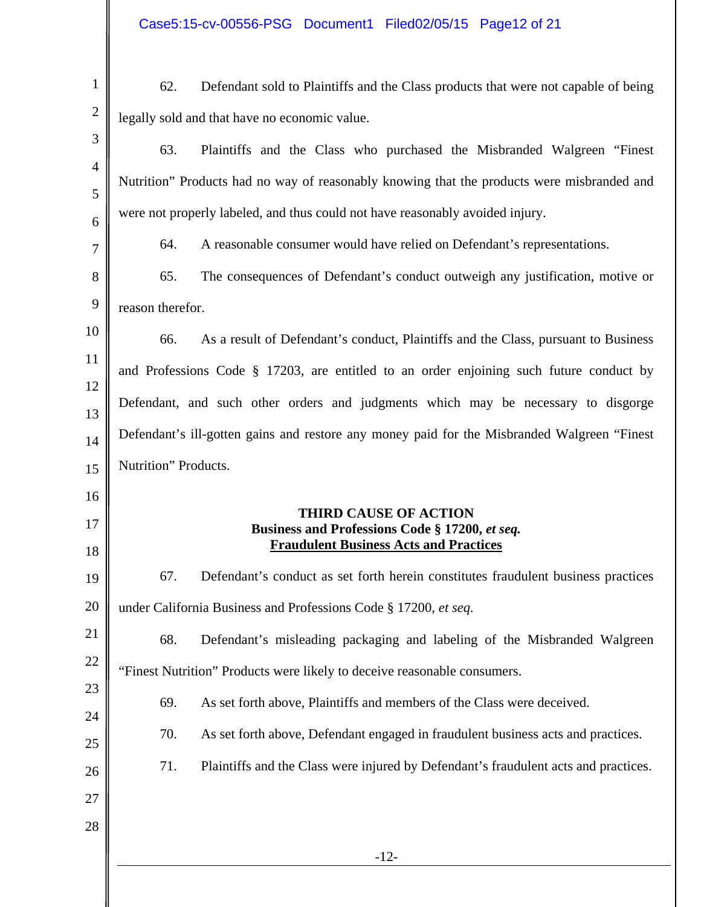| $\mathbf{1}$        | Defendant sold to Plaintiffs and the Class products that were not capable of being<br>62.       |
|---------------------|-------------------------------------------------------------------------------------------------|
| $\sqrt{2}$          | legally sold and that have no economic value.                                                   |
| 3                   | 63.<br>Plaintiffs and the Class who purchased the Misbranded Walgreen "Finest"                  |
| $\overline{4}$      | Nutrition" Products had no way of reasonably knowing that the products were misbranded and      |
| 5                   | were not properly labeled, and thus could not have reasonably avoided injury.                   |
| 6<br>$\overline{7}$ | A reasonable consumer would have relied on Defendant's representations.<br>64.                  |
| 8                   | The consequences of Defendant's conduct outweigh any justification, motive or<br>65.            |
| 9                   | reason therefor.                                                                                |
| 10                  | As a result of Defendant's conduct, Plaintiffs and the Class, pursuant to Business<br>66.       |
| 11                  |                                                                                                 |
| 12                  | and Professions Code § 17203, are entitled to an order enjoining such future conduct by         |
| 13                  | Defendant, and such other orders and judgments which may be necessary to disgorge               |
| 14                  | Defendant's ill-gotten gains and restore any money paid for the Misbranded Walgreen "Finest"    |
| 15                  | Nutrition" Products.                                                                            |
| 16                  | <b>THIRD CAUSE OF ACTION</b>                                                                    |
| 17<br>18            | Business and Professions Code § 17200, et seq.<br><b>Fraudulent Business Acts and Practices</b> |
| 19                  | 67.<br>Defendant's conduct as set forth herein constitutes fraudulent business practices        |
| 20                  | under California Business and Professions Code § 17200, et seq.                                 |
| 21                  | 68.<br>Defendant's misleading packaging and labeling of the Misbranded Walgreen                 |
| 22                  | "Finest Nutrition" Products were likely to deceive reasonable consumers.                        |
| 23                  | 69.<br>As set forth above, Plaintiffs and members of the Class were deceived.                   |
| 24                  | 70.<br>As set forth above, Defendant engaged in fraudulent business acts and practices.         |
| 25                  |                                                                                                 |
|                     | 71.<br>Plaintiffs and the Class were injured by Defendant's fraudulent acts and practices.      |
|                     |                                                                                                 |
| 26<br>27<br>28      |                                                                                                 |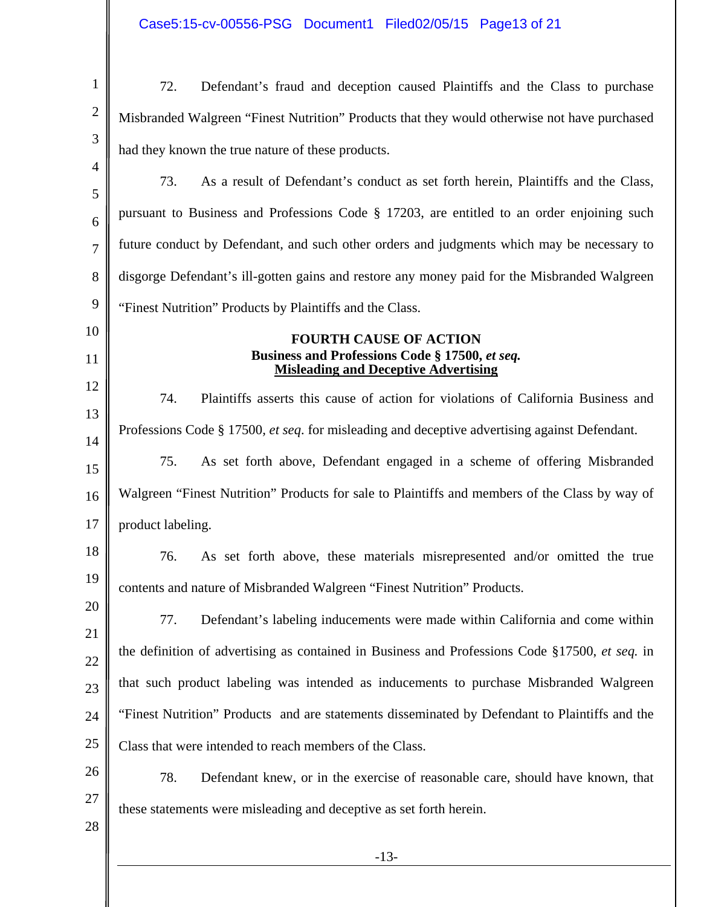Case5:15-cv-00556-PSG Document1 Filed02/05/15 Page13 of 21

| $\mathbf{1}$   | Defendant's fraud and deception caused Plaintiffs and the Class to purchase<br>72.                   |
|----------------|------------------------------------------------------------------------------------------------------|
| $\mathbf{2}$   | Misbranded Walgreen "Finest Nutrition" Products that they would otherwise not have purchased         |
| 3              | had they known the true nature of these products.                                                    |
| $\overline{4}$ | 73.<br>As a result of Defendant's conduct as set forth herein, Plaintiffs and the Class,             |
| 5<br>6         | pursuant to Business and Professions Code § 17203, are entitled to an order enjoining such           |
| $\overline{7}$ | future conduct by Defendant, and such other orders and judgments which may be necessary to           |
| 8              | disgorge Defendant's ill-gotten gains and restore any money paid for the Misbranded Walgreen         |
| 9              | "Finest Nutrition" Products by Plaintiffs and the Class.                                             |
| 10             | <b>FOURTH CAUSE OF ACTION</b>                                                                        |
| 11             | Business and Professions Code § 17500, et seq.<br><b>Misleading and Deceptive Advertising</b>        |
| 12             | Plaintiffs asserts this cause of action for violations of California Business and<br>74.             |
| 13             | Professions Code § 17500, <i>et seq.</i> for misleading and deceptive advertising against Defendant. |
| 14<br>15       | As set forth above, Defendant engaged in a scheme of offering Misbranded<br>75.                      |
| 16             | Walgreen "Finest Nutrition" Products for sale to Plaintiffs and members of the Class by way of       |
| 17             | product labeling.                                                                                    |
| 18             | 76.<br>As set forth above, these materials misrepresented and/or omitted the true                    |
| 19             | contents and nature of Misbranded Walgreen "Finest Nutrition" Products.                              |
| 20             | Defendant's labeling inducements were made within California and come within<br>77.                  |
| 21             | the definition of advertising as contained in Business and Professions Code §17500, et seq. in       |
| 22             | that such product labeling was intended as inducements to purchase Misbranded Walgreen               |
| 23<br>24       | "Finest Nutrition" Products and are statements disseminated by Defendant to Plaintiffs and the       |
| 25             | Class that were intended to reach members of the Class.                                              |
| 26             | 78.<br>Defendant knew, or in the exercise of reasonable care, should have known, that                |
| 27             | these statements were misleading and deceptive as set forth herein.                                  |
| 28             |                                                                                                      |
|                | $-13-$                                                                                               |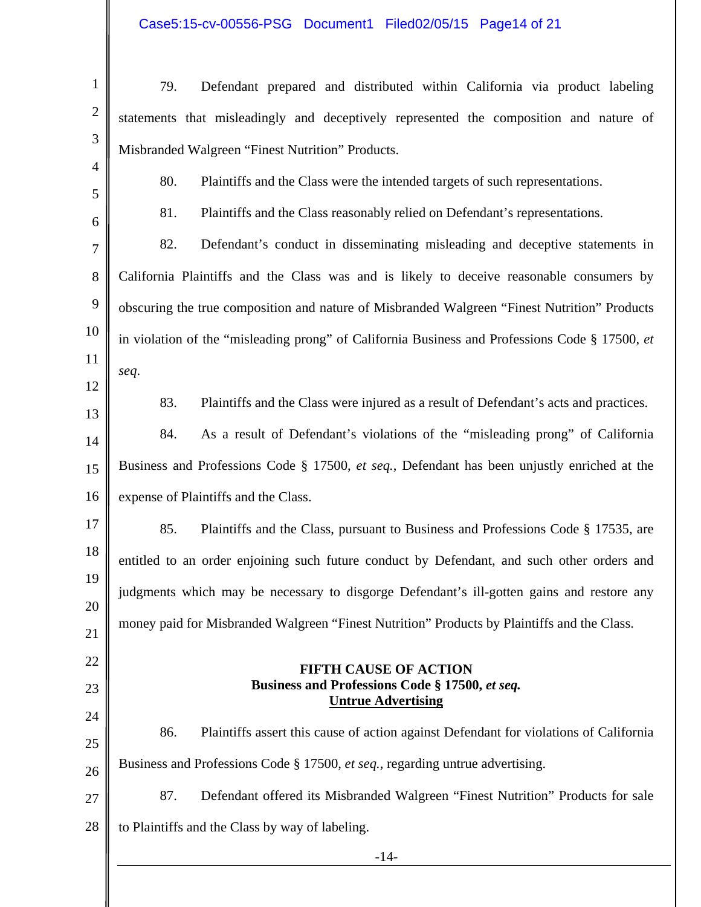# Case5:15-cv-00556-PSG Document1 Filed02/05/15 Page14 of 21

| $\mathbf{1}$        | 79.<br>Defendant prepared and distributed within California via product labeling               |
|---------------------|------------------------------------------------------------------------------------------------|
| $\mathbf{2}$        | statements that misleadingly and deceptively represented the composition and nature of         |
| $\mathfrak{Z}$      | Misbranded Walgreen "Finest Nutrition" Products.                                               |
| $\overline{4}$<br>5 | 80.<br>Plaintiffs and the Class were the intended targets of such representations.             |
| 6                   | 81.<br>Plaintiffs and the Class reasonably relied on Defendant's representations.              |
| $\overline{7}$      | 82.<br>Defendant's conduct in disseminating misleading and deceptive statements in             |
| 8                   | California Plaintiffs and the Class was and is likely to deceive reasonable consumers by       |
| 9                   | obscuring the true composition and nature of Misbranded Walgreen "Finest Nutrition" Products   |
| 10                  | in violation of the "misleading prong" of California Business and Professions Code § 17500, et |
| 11                  | seq.                                                                                           |
| 12                  | 83.<br>Plaintiffs and the Class were injured as a result of Defendant's acts and practices.    |
| 13<br>14            | 84.<br>As a result of Defendant's violations of the "misleading prong" of California           |
| 15                  | Business and Professions Code § 17500, et seq., Defendant has been unjustly enriched at the    |
| 16                  | expense of Plaintiffs and the Class.                                                           |
| 17                  | 85.<br>Plaintiffs and the Class, pursuant to Business and Professions Code § 17535, are        |
| 18                  | entitled to an order enjoining such future conduct by Defendant, and such other orders and     |
| 19                  | judgments which may be necessary to disgorge Defendant's ill-gotten gains and restore any      |
| 20                  | money paid for Misbranded Walgreen "Finest Nutrition" Products by Plaintiffs and the Class.    |
| 21                  |                                                                                                |
| 22<br>23            | <b>FIFTH CAUSE OF ACTION</b><br>Business and Professions Code § 17500, et seq.                 |
| 24                  | <b>Untrue Advertising</b>                                                                      |
| 25                  | Plaintiffs assert this cause of action against Defendant for violations of California<br>86.   |
| 26                  | Business and Professions Code § 17500, et seq., regarding untrue advertising.                  |
| 27                  | 87.<br>Defendant offered its Misbranded Walgreen "Finest Nutrition" Products for sale          |
| 28                  | to Plaintiffs and the Class by way of labeling.                                                |
|                     | $-14-$                                                                                         |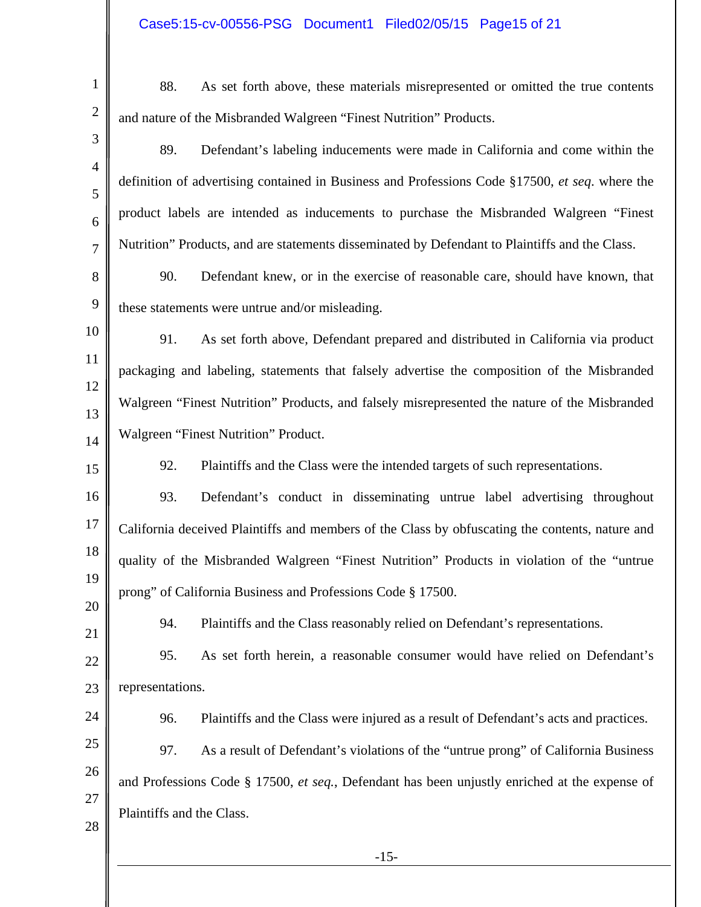| 1                   | 88.<br>As set forth above, these materials misrepresented or omitted the true contents          |
|---------------------|-------------------------------------------------------------------------------------------------|
| $\mathbf{2}$        | and nature of the Misbranded Walgreen "Finest Nutrition" Products.                              |
| 3                   | 89.<br>Defendant's labeling inducements were made in California and come within the             |
| $\overline{4}$<br>5 | definition of advertising contained in Business and Professions Code §17500, et seq. where the  |
| 6                   | product labels are intended as inducements to purchase the Misbranded Walgreen "Finest          |
| $\overline{7}$      | Nutrition" Products, and are statements disseminated by Defendant to Plaintiffs and the Class.  |
| 8                   | 90.<br>Defendant knew, or in the exercise of reasonable care, should have known, that           |
| 9                   | these statements were untrue and/or misleading.                                                 |
| 10                  | As set forth above, Defendant prepared and distributed in California via product<br>91.         |
| 11                  | packaging and labeling, statements that falsely advertise the composition of the Misbranded     |
| 12<br>13            | Walgreen "Finest Nutrition" Products, and falsely misrepresented the nature of the Misbranded   |
| 14                  | Walgreen "Finest Nutrition" Product.                                                            |
| 15                  | 92.<br>Plaintiffs and the Class were the intended targets of such representations.              |
| 16                  | 93.<br>Defendant's conduct in disseminating untrue label advertising throughout                 |
| 17                  | California deceived Plaintiffs and members of the Class by obfuscating the contents, nature and |
| 18                  | quality of the Misbranded Walgreen "Finest Nutrition" Products in violation of the "untrue      |
| 19                  | prong" of California Business and Professions Code § 17500.                                     |
| 20<br>21            | Plaintiffs and the Class reasonably relied on Defendant's representations.<br>94.               |
| $22\,$              | 95.<br>As set forth herein, a reasonable consumer would have relied on Defendant's              |
| 23                  | representations.                                                                                |
| 24                  | Plaintiffs and the Class were injured as a result of Defendant's acts and practices.<br>96.     |
| 25                  | 97.<br>As a result of Defendant's violations of the "untrue prong" of California Business       |
| 26                  | and Professions Code § 17500, et seq., Defendant has been unjustly enriched at the expense of   |
| 27                  | Plaintiffs and the Class.                                                                       |
| 28                  |                                                                                                 |
|                     | $-15-$                                                                                          |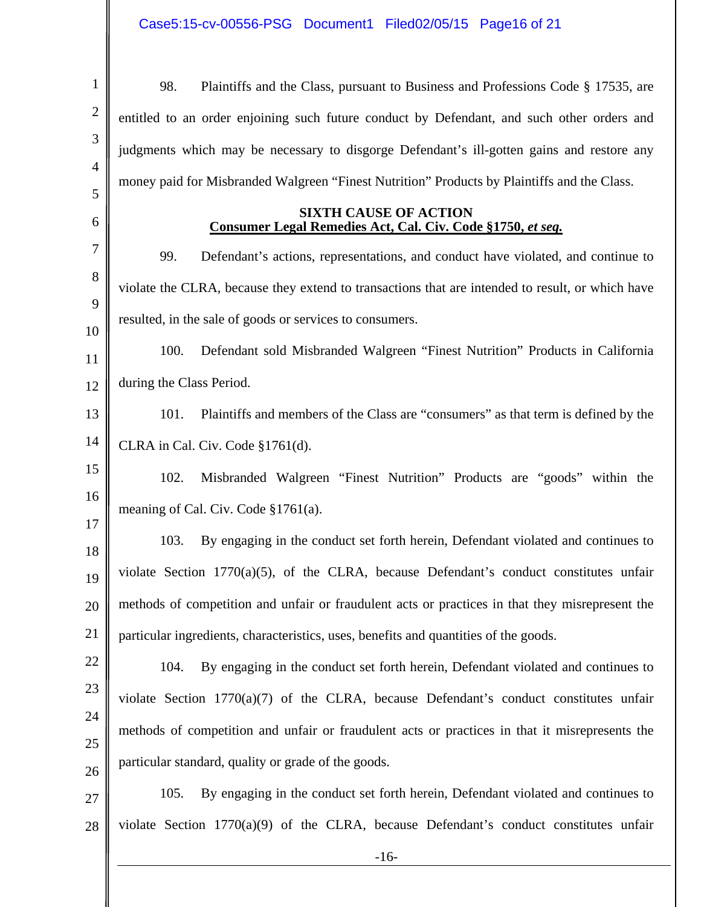| $\mathbf{1}$   | 98.<br>Plaintiffs and the Class, pursuant to Business and Professions Code § 17535, are          |  |  |
|----------------|--------------------------------------------------------------------------------------------------|--|--|
| $\overline{2}$ | entitled to an order enjoining such future conduct by Defendant, and such other orders and       |  |  |
| 3              | judgments which may be necessary to disgorge Defendant's ill-gotten gains and restore any        |  |  |
| $\overline{4}$ | money paid for Misbranded Walgreen "Finest Nutrition" Products by Plaintiffs and the Class.      |  |  |
| 5<br>6         | <b>SIXTH CAUSE OF ACTION</b>                                                                     |  |  |
| 7              | Consumer Legal Remedies Act, Cal. Civ. Code §1750, et seq.                                       |  |  |
| 8              | 99.<br>Defendant's actions, representations, and conduct have violated, and continue to          |  |  |
| 9              | violate the CLRA, because they extend to transactions that are intended to result, or which have |  |  |
| 10             | resulted, in the sale of goods or services to consumers.                                         |  |  |
| 11             | 100.<br>Defendant sold Misbranded Walgreen "Finest Nutrition" Products in California             |  |  |
| 12             | during the Class Period.                                                                         |  |  |
| 13             | Plaintiffs and members of the Class are "consumers" as that term is defined by the<br>101.       |  |  |
| 14             | CLRA in Cal. Civ. Code §1761(d).                                                                 |  |  |
| 15             | 102.<br>Misbranded Walgreen "Finest Nutrition" Products are "goods" within the                   |  |  |
| 16             | meaning of Cal. Civ. Code $$1761(a)$ .                                                           |  |  |
| 17<br>18       | By engaging in the conduct set forth herein, Defendant violated and continues to<br>103.         |  |  |
| 19             | violate Section 1770(a)(5), of the CLRA, because Defendant's conduct constitutes unfair          |  |  |
| 20             | methods of competition and unfair or fraudulent acts or practices in that they misrepresent the  |  |  |
| 21             | particular ingredients, characteristics, uses, benefits and quantities of the goods.             |  |  |
| 22             | By engaging in the conduct set forth herein, Defendant violated and continues to<br>104.         |  |  |
| 23             | violate Section 1770(a)(7) of the CLRA, because Defendant's conduct constitutes unfair           |  |  |
| 24             | methods of competition and unfair or fraudulent acts or practices in that it misrepresents the   |  |  |
| 25             | particular standard, quality or grade of the goods.                                              |  |  |
| 26             | 105.<br>By engaging in the conduct set forth herein, Defendant violated and continues to         |  |  |
| 27             |                                                                                                  |  |  |
| 28             | violate Section $1770(a)(9)$ of the CLRA, because Defendant's conduct constitutes unfair         |  |  |
|                | $-16-$                                                                                           |  |  |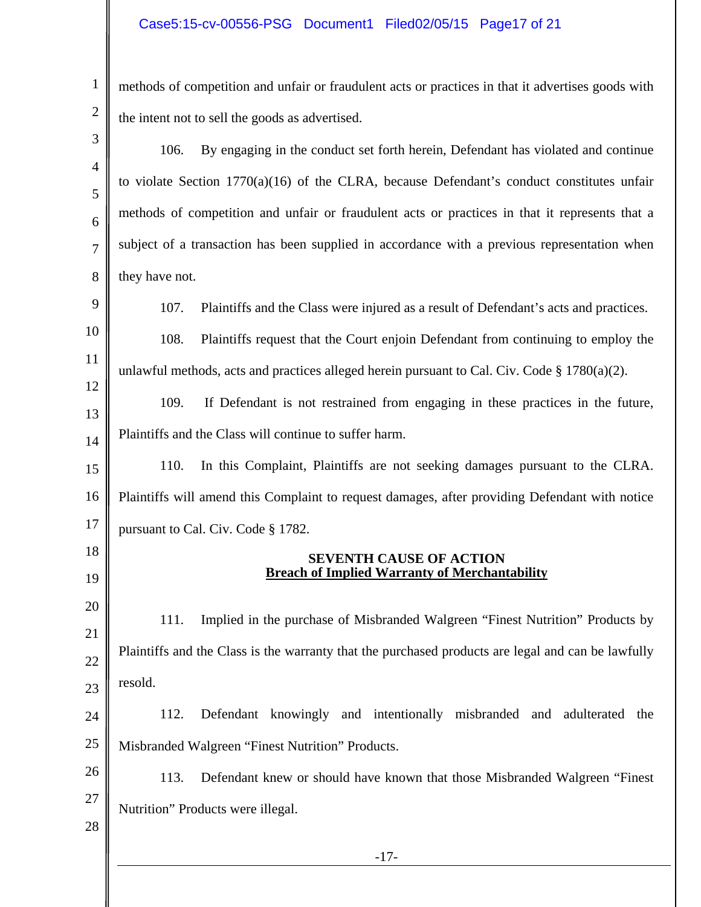#### Case5:15-cv-00556-PSG Document1 Filed02/05/15 Page17 of 21

1

2

methods of competition and unfair or fraudulent acts or practices in that it advertises goods with the intent not to sell the goods as advertised.

-17- 3 4 5 6 7 8 9 10 11 12 13 14 15 16 17 18 19 20 21 22 23 24 25 26 27 28 106. By engaging in the conduct set forth herein, Defendant has violated and continue to violate Section 1770(a)(16) of the CLRA, because Defendant's conduct constitutes unfair methods of competition and unfair or fraudulent acts or practices in that it represents that a subject of a transaction has been supplied in accordance with a previous representation when they have not. 107. Plaintiffs and the Class were injured as a result of Defendant's acts and practices. 108. Plaintiffs request that the Court enjoin Defendant from continuing to employ the unlawful methods, acts and practices alleged herein pursuant to Cal. Civ. Code  $\S 1780(a)(2)$ . 109. If Defendant is not restrained from engaging in these practices in the future, Plaintiffs and the Class will continue to suffer harm. 110. In this Complaint, Plaintiffs are not seeking damages pursuant to the CLRA. Plaintiffs will amend this Complaint to request damages, after providing Defendant with notice pursuant to Cal. Civ. Code § 1782. **SEVENTH CAUSE OF ACTION Breach of Implied Warranty of Merchantability**  111. Implied in the purchase of Misbranded Walgreen "Finest Nutrition" Products by Plaintiffs and the Class is the warranty that the purchased products are legal and can be lawfully resold. 112. Defendant knowingly and intentionally misbranded and adulterated the Misbranded Walgreen "Finest Nutrition" Products. 113. Defendant knew or should have known that those Misbranded Walgreen "Finest Nutrition" Products were illegal.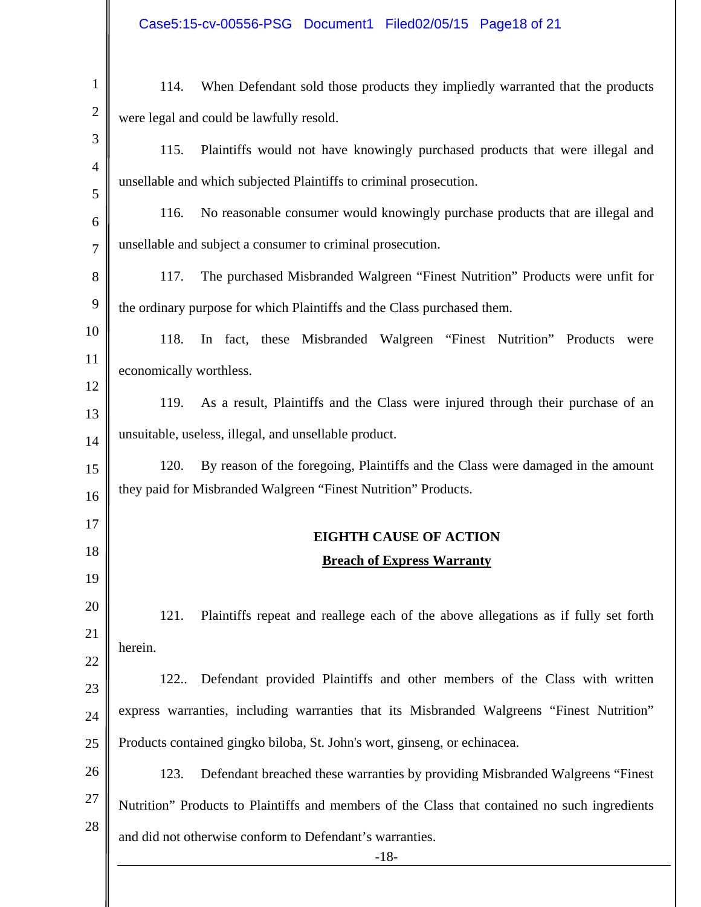## Case5:15-cv-00556-PSG Document1 Filed02/05/15 Page18 of 21

| were legal and could be lawfully resold.<br>115.<br>Plaintiffs would not have knowingly purchased products that were illegal and<br>unsellable and which subjected Plaintiffs to criminal prosecution.<br>116.<br>No reasonable consumer would knowingly purchase products that are illegal and<br>unsellable and subject a consumer to criminal prosecution.<br>The purchased Misbranded Walgreen "Finest Nutrition" Products were unfit for<br>117. |
|-------------------------------------------------------------------------------------------------------------------------------------------------------------------------------------------------------------------------------------------------------------------------------------------------------------------------------------------------------------------------------------------------------------------------------------------------------|
|                                                                                                                                                                                                                                                                                                                                                                                                                                                       |
|                                                                                                                                                                                                                                                                                                                                                                                                                                                       |
|                                                                                                                                                                                                                                                                                                                                                                                                                                                       |
|                                                                                                                                                                                                                                                                                                                                                                                                                                                       |
|                                                                                                                                                                                                                                                                                                                                                                                                                                                       |
|                                                                                                                                                                                                                                                                                                                                                                                                                                                       |
| the ordinary purpose for which Plaintiffs and the Class purchased them.                                                                                                                                                                                                                                                                                                                                                                               |
| In fact, these Misbranded Walgreen "Finest Nutrition" Products<br>118.<br>were                                                                                                                                                                                                                                                                                                                                                                        |
|                                                                                                                                                                                                                                                                                                                                                                                                                                                       |
| economically worthless.                                                                                                                                                                                                                                                                                                                                                                                                                               |
| As a result, Plaintiffs and the Class were injured through their purchase of an<br>119.                                                                                                                                                                                                                                                                                                                                                               |
| unsuitable, useless, illegal, and unsellable product.                                                                                                                                                                                                                                                                                                                                                                                                 |
| By reason of the foregoing, Plaintiffs and the Class were damaged in the amount<br>120.                                                                                                                                                                                                                                                                                                                                                               |
| they paid for Misbranded Walgreen "Finest Nutrition" Products.                                                                                                                                                                                                                                                                                                                                                                                        |
| <b>EIGHTH CAUSE OF ACTION</b>                                                                                                                                                                                                                                                                                                                                                                                                                         |
| <b>Breach of Express Warranty</b>                                                                                                                                                                                                                                                                                                                                                                                                                     |
|                                                                                                                                                                                                                                                                                                                                                                                                                                                       |
| Plaintiffs repeat and reallege each of the above allegations as if fully set forth<br>121.                                                                                                                                                                                                                                                                                                                                                            |
| herein.                                                                                                                                                                                                                                                                                                                                                                                                                                               |
|                                                                                                                                                                                                                                                                                                                                                                                                                                                       |
| Defendant provided Plaintiffs and other members of the Class with written<br>122                                                                                                                                                                                                                                                                                                                                                                      |
| express warranties, including warranties that its Misbranded Walgreens "Finest Nutrition"                                                                                                                                                                                                                                                                                                                                                             |
| Products contained gingko biloba, St. John's wort, ginseng, or echinacea.                                                                                                                                                                                                                                                                                                                                                                             |
| Defendant breached these warranties by providing Misbranded Walgreens "Finest"<br>123.                                                                                                                                                                                                                                                                                                                                                                |
| Nutrition" Products to Plaintiffs and members of the Class that contained no such ingredients                                                                                                                                                                                                                                                                                                                                                         |
| and did not otherwise conform to Defendant's warranties.<br>$-18-$                                                                                                                                                                                                                                                                                                                                                                                    |
|                                                                                                                                                                                                                                                                                                                                                                                                                                                       |

∥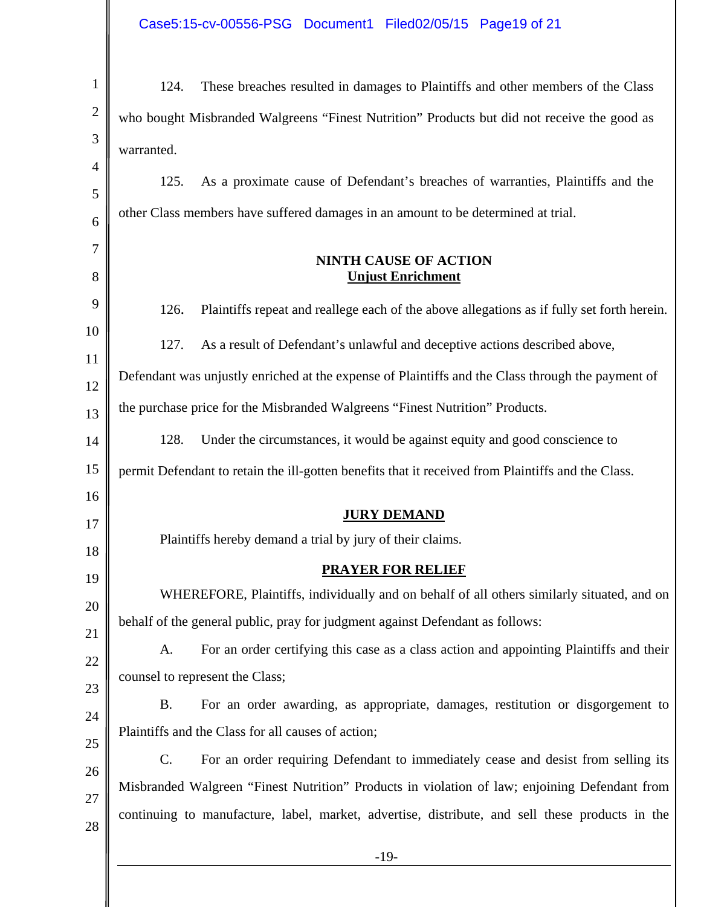# Case5:15-cv-00556-PSG Document1 Filed02/05/15 Page19 of 21

| $\mathbf{1}$   | These breaches resulted in damages to Plaintiffs and other members of the Class<br>124.            |  |  |  |
|----------------|----------------------------------------------------------------------------------------------------|--|--|--|
| $\overline{2}$ | who bought Misbranded Walgreens "Finest Nutrition" Products but did not receive the good as        |  |  |  |
| 3              | warranted.                                                                                         |  |  |  |
| 4              | 125.<br>As a proximate cause of Defendant's breaches of warranties, Plaintiffs and the             |  |  |  |
| 5              | other Class members have suffered damages in an amount to be determined at trial.                  |  |  |  |
| 6              |                                                                                                    |  |  |  |
| 7<br>8         | <b>NINTH CAUSE OF ACTION</b><br><b>Unjust Enrichment</b>                                           |  |  |  |
|                |                                                                                                    |  |  |  |
| 9              | 126.<br>Plaintiffs repeat and reallege each of the above allegations as if fully set forth herein. |  |  |  |
| 10             | As a result of Defendant's unlawful and deceptive actions described above,<br>127.                 |  |  |  |
| 11             |                                                                                                    |  |  |  |
| 12             | Defendant was unjustly enriched at the expense of Plaintiffs and the Class through the payment of  |  |  |  |
| 13             | the purchase price for the Misbranded Walgreens "Finest Nutrition" Products.                       |  |  |  |
| 14             | 128.<br>Under the circumstances, it would be against equity and good conscience to                 |  |  |  |
| 15             | permit Defendant to retain the ill-gotten benefits that it received from Plaintiffs and the Class. |  |  |  |
| 16             | <b>JURY DEMAND</b>                                                                                 |  |  |  |
| 17<br>18       | Plaintiffs hereby demand a trial by jury of their claims.                                          |  |  |  |
| 19             | <b>PRAYER FOR RELIEF</b>                                                                           |  |  |  |
| 20             | WHEREFORE, Plaintiffs, individually and on behalf of all others similarly situated, and on         |  |  |  |
| 21             | behalf of the general public, pray for judgment against Defendant as follows:                      |  |  |  |
| 22             | For an order certifying this case as a class action and appointing Plaintiffs and their<br>A.      |  |  |  |
| 23             | counsel to represent the Class;                                                                    |  |  |  |
| 24             | For an order awarding, as appropriate, damages, restitution or disgorgement to<br><b>B.</b>        |  |  |  |
| 25             | Plaintiffs and the Class for all causes of action;                                                 |  |  |  |
| 26             | C.<br>For an order requiring Defendant to immediately cease and desist from selling its            |  |  |  |
| 27             | Misbranded Walgreen "Finest Nutrition" Products in violation of law; enjoining Defendant from      |  |  |  |
| 28             | continuing to manufacture, label, market, advertise, distribute, and sell these products in the    |  |  |  |
|                | $-19-$                                                                                             |  |  |  |
|                |                                                                                                    |  |  |  |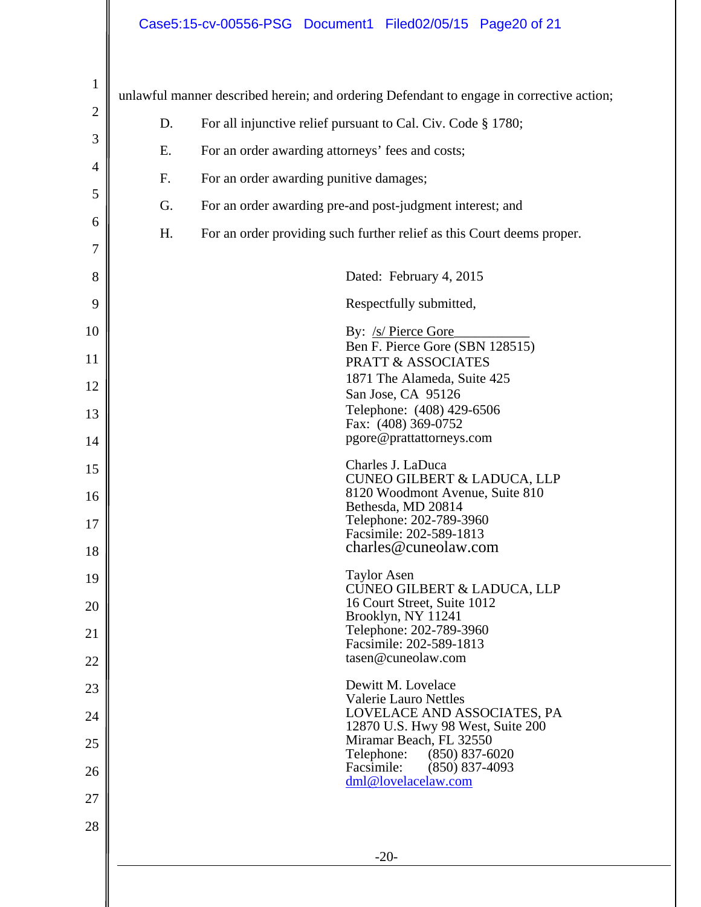## Case5:15-cv-00556-PSG Document1 Filed02/05/15 Page20 of 21

| $\mathbf{1}$   |    | unlawful manner described herein; and ordering Defendant to engage in corrective action; |
|----------------|----|------------------------------------------------------------------------------------------|
| $\overline{c}$ | D. | For all injunctive relief pursuant to Cal. Civ. Code § 1780;                             |
| 3              | Ε. | For an order awarding attorneys' fees and costs;                                         |
| 4              | F. | For an order awarding punitive damages;                                                  |
| 5              | G. | For an order awarding pre-and post-judgment interest; and                                |
| 6              | H. | For an order providing such further relief as this Court deems proper.                   |
| 7              |    |                                                                                          |
| 8              |    | Dated: February 4, 2015                                                                  |
| 9              |    | Respectfully submitted,                                                                  |
| 10             |    | By: /s/ Pierce Gore<br>Ben F. Pierce Gore (SBN 128515)                                   |
| 11             |    | <b>PRATT &amp; ASSOCIATES</b><br>1871 The Alameda, Suite 425                             |
| 12             |    | San Jose, CA 95126                                                                       |
| 13             |    | Telephone: (408) 429-6506<br>Fax: (408) 369-0752                                         |
| 14             |    | pgore@prattattorneys.com                                                                 |
| 15             |    | Charles J. LaDuca<br><b>CUNEO GILBERT &amp; LADUCA, LLP</b>                              |
| 16             |    | 8120 Woodmont Avenue, Suite 810<br>Bethesda, MD 20814                                    |
| 17             |    | Telephone: 202-789-3960<br>Facsimile: 202-589-1813                                       |
| 18             |    | charles@cuneolaw.com                                                                     |
| 19             |    | <b>Taylor Asen</b><br><b>CUNEO GILBERT &amp; LADUCA, LLP</b>                             |
| 20             |    | 16 Court Street, Suite 1012<br>Brooklyn, NY 11241                                        |
| 21             |    | Telephone: 202-789-3960<br>Facsimile: 202-589-1813                                       |
| 22             |    | tasen@cuneolaw.com                                                                       |
| 23             |    | Dewitt M. Lovelace<br><b>Valerie Lauro Nettles</b>                                       |
| 24             |    | LOVELACE AND ASSOCIATES, PA<br>12870 U.S. Hwy 98 West, Suite 200                         |
| 25             |    | Miramar Beach, FL 32550<br>Telephone:<br>$(850) 837 - 6020$                              |
| 26             |    | Facsimile:<br>$(850)$ 837-4093<br>dml@lovelacelaw.com                                    |
| 27             |    |                                                                                          |
| 28             |    |                                                                                          |
|                |    | $-20-$                                                                                   |